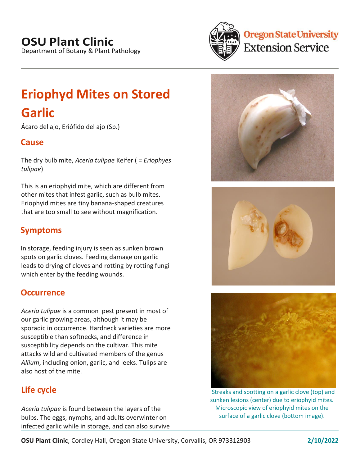# **OSU Plant Clinic**

Department of Botany & Plant Pathology



# **Oregon State University Extension Service**

# **Eriophyd Mites on Stored**

# **Garlic**

Ácaro del ajo, Eriófido del ajo (Sp.)

## **Cause**

The dry bulb mite, *Aceria tulipae* Keifer ( *= Eriophyes tulipae*)

This is an eriophyid mite, which are different from other mites that infest garlic, such as bulb mites. Eriophyid mites are tiny banana-shaped creatures that are too small to see without magnification.

## **Symptoms**

In storage, feeding injury is seen as sunken brown spots on garlic cloves. Feeding damage on garlic leads to drying of cloves and rotting by rotting fungi which enter by the feeding wounds.

## **Occurrence**

*Aceria tulipae* is a common pest present in most of our garlic growing areas, although it may be sporadic in occurrence. Hardneck varieties are more susceptible than softnecks, and difference in susceptibility depends on the cultivar. This mite attacks wild and cultivated members of the genus *Allium*, including onion, garlic, and leeks. Tulips are also host of the mite.

## **Life cycle**

*Aceria tulipae* is found between the layers of the bulbs. The eggs, nymphs, and adults overwinter on infected garlic while in storage, and can also survive







Streaks and spotting on a garlic clove (top) and sunken lesions (center) due to eriophyid mites. Microscopic view of eriophyid mites on the surface of a garlic clove (bottom image).